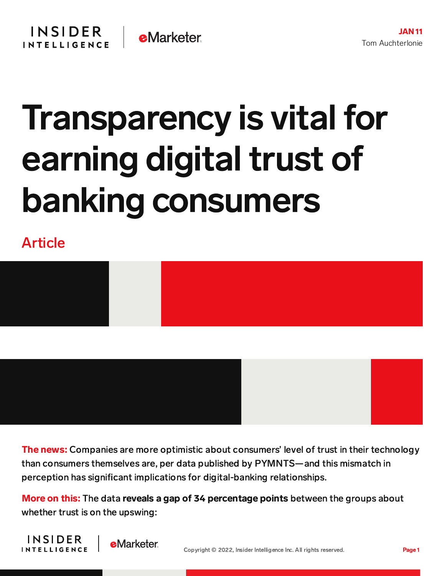## Transparency is vital for earning digital trust of banking consumers

Article





The news: Companies are more optimistic about consumers' level of trust in their technology than consumers themselves are, per data published by PYMNTS—and this mismatch in perception has significant implications for digital-banking relationships.

More on this: The data reveals a gap of 34 percentage points between the groups about whether trust is on the upswing:



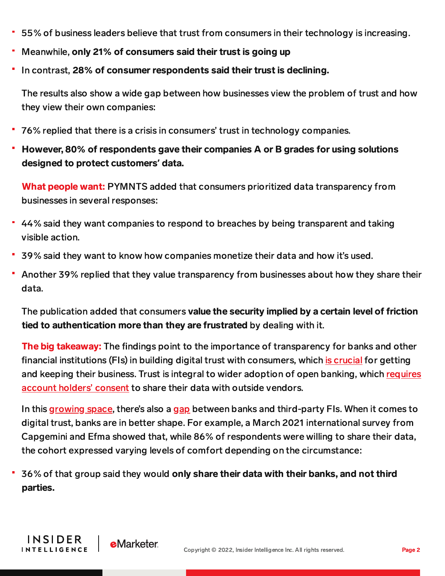- 55% of business leaders believe that trust from consumers in their technology is increasing.
- Meanwhile, only 21% of consumers said their trust is going up
- In contrast, 28% of consumer respondents said their trust is declining.

The results also show a wide gap between how businesses view the problem of trust and how they view their own companies:

- 76% replied that there is a crisis in consumers' trust in technology companies.
- However, 80% of respondents gave their companies A or B grades for using solutions designed to protect customers**'** data.

What people want: PYMNTS added that consumers prioritized data transparency from businesses in several responses:

- 44% said they want companies to respond to breaches by being transparent and taking visible action.
- 39% said they want to know how companies monetize their data and how it's used.
- Another 39% replied that they value transparency from businesses about how they share their data.

The publication added that consumers value the security implied by a certain level of friction tied to authentication more than they are frustrated by dealing with it.

**The big takeaway:** The findings point to the importance of transparency for banks and other financial institutions (FIs) in building digital trust with consumers, which is [crucial](https://content-na2.emarketer.com/banking-digital-trust-report-2021) for getting and keeping their business. Trust is integral to wider adoption of open banking, which requires account holders' consent to share their data with outside [vendors.](https://www.emarketer.com/content/consumers-superior-trust-banks-pivotal-role-us-open-banking?utm_campaign=Banking+Briefing+12/17/2021+Mastercard+open+banking+US&utm_medium=email&utm_source=Triggermail&utm_term=BII+List+Banking+ALL)

In this [growing](https://content-na2.emarketer.com/consumers-superior-trust-banks-pivotal-role-us-open-banking?utm_campaign=banking+briefing+12/17/2021+mastercard+open+banking+us&utm_medium=email&utm_source=triggermail&utm_term=bii+list+banking+all) space, there's also a [gap](https://content-na2.emarketer.com/consumers-superior-trust-banks-pivotal-role-us-open-banking?utm_campaign=banking+briefing+12/17/2021+mastercard+open+banking+us&utm_medium=email&utm_source=triggermail&utm_term=bii+list+banking+all) between banks and third-party FIs. When it comes to digital trust, banks are in better shape. For example, a March 2021 international survey from Capgemini and Efma showed that, while 86% of respondents were willing to share their data, the cohort expressed varying levels of comfort depending on the circumstance:

36% of that group said they would only share their data with their banks, and not third parties.

INSIDER

**INTELLIGENCE** 

**e**Marketer